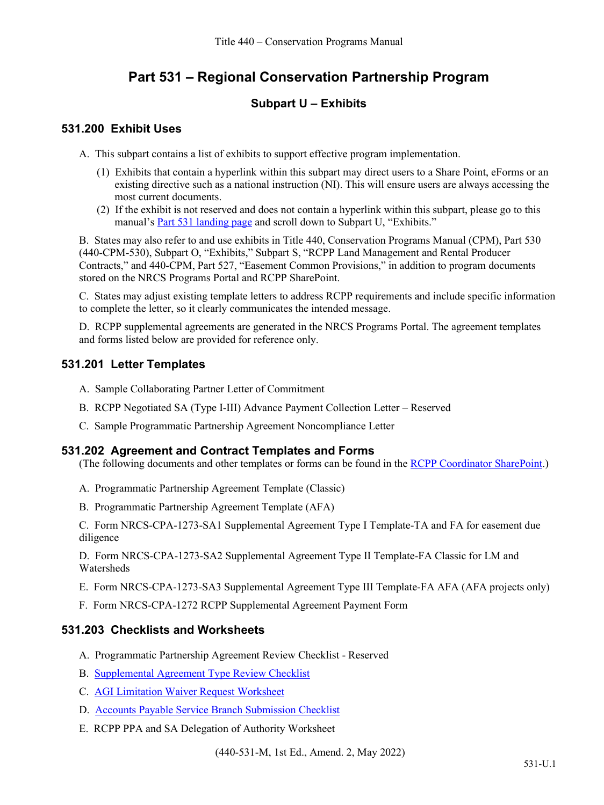# **Part 531 – Regional Conservation Partnership Program**

## **Subpart U – Exhibits**

### **531.200 Exhibit Uses**

A. This subpart contains a list of exhibits to support effective program implementation.

- (1) Exhibits that contain a hyperlink within this subpart may direct users to a Share Point, eForms or an existing directive such as a national instruction (NI). This will ensure users are always accessing the most current documents.
- (2) If the exhibit is not reserved and does not contain a hyperlink within this subpart, please go to this manual's [Part 531 landing page](https://directives.sc.egov.usda.gov/viewerFS.aspx?hid=47576) and scroll down to Subpart U, "Exhibits."

B. States may also refer to and use exhibits in Title 440, Conservation Programs Manual (CPM), Part 530 (440-CPM-530), Subpart O, "Exhibits," Subpart S, "RCPP Land Management and Rental Producer Contracts," and 440-CPM, Part 527, "Easement Common Provisions," in addition to program documents stored on the NRCS Programs Portal and RCPP SharePoint.

C. States may adjust existing template letters to address RCPP requirements and include specific information to complete the letter, so it clearly communicates the intended message.

D. RCPP supplemental agreements are generated in the NRCS Programs Portal. The agreement templates and forms listed below are provided for reference only.

## **531.201 Letter Templates**

- A. Sample Collaborating Partner Letter of Commitment
- B. RCPP Negotiated SA (Type I-III) Advance Payment Collection Letter Reserved
- C. Sample Programmatic Partnership Agreement Noncompliance Letter

#### **531.202 Agreement and Contract Templates and Forms**

(The following documents and other templates or forms can be found in the [RCPP Coordinator SharePoint.](https://usdagcc.sharepoint.com/sites/nrcs_programs/SharePoint/RCPP/Coordinator_Resources/Templates/Forms/AllItems.aspx))

- A. Programmatic Partnership Agreement Template (Classic)
- B. Programmatic Partnership Agreement Template (AFA)
- C. Form NRCS-CPA-1273-SA1 Supplemental Agreement Type I Template-TA and FA for easement due diligence

D. Form NRCS-CPA-1273-SA2 Supplemental Agreement Type II Template-FA Classic for LM and Watersheds

- E. Form NRCS-CPA-1273-SA3 Supplemental Agreement Type III Template-FA AFA (AFA projects only)
- F. Form NRCS-CPA-1272 RCPP Supplemental Agreement Payment Form

### **531.203 Checklists and Worksheets**

- A. Programmatic Partnership Agreement Review Checklist Reserved
- B. [Supplemental Agreement Type Review Checklist](https://directives.sc.egov.usda.gov/viewerFS.aspx?hid=46705)
- C. AGI Limitation [Waiver Request Worksheet](https://directives.sc.egov.usda.gov/viewerFS.aspx?hid=46138)
- D. [Accounts Payable Service Branch Submission Checklist](https://gcc02.safelinks.protection.outlook.com/?url=https%3A%2F%2Fusdafpacbc.servicenowservices.com%2Fsys_attachment.do%3Fsys_id%3D9d4e3e811b5009106bf7a8efe54bcb30%26sysparm_stack%3Dsys_attachment_list.do%3Fsysparm_query%3Dactive%3Dtrue&data=04%7C01%7C%7C81c80ffc731d4f69b04e08da1c9993e0%7Ced5b36e701ee4ebc867ee03cfa0d4697%7C0%7C0%7C637853743179854755%7CUnknown%7CTWFpbGZsb3d8eyJWIjoiMC4wLjAwMDAiLCJQIjoiV2luMzIiLCJBTiI6Ik1haWwiLCJXVCI6Mn0%3D%7C3000&sdata=zzI%2BwhnULdApMO833dZFBwqvU%2Fu5tshWj6QJoxtBqsI%3D&reserved=0)
- E. RCPP PPA and SA Delegation of Authority Worksheet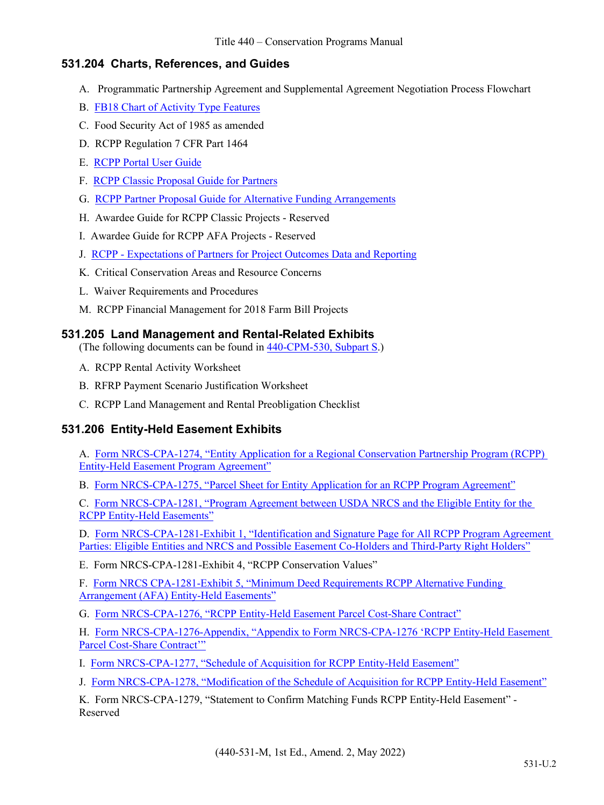### **531.204 Charts, References, and Guides**

- A. Programmatic Partnership Agreement and Supplemental Agreement Negotiation Process Flowchart
- B. [FB18 Chart of Activity Type Features](https://directives.sc.egov.usda.gov/viewerFS.aspx?hid=46809)
- C. Food Security Act of 1985 as amended
- D. RCPP Regulation 7 CFR Part 1464
- E. [RCPP Portal User Guide](https://usdagcc.sharepoint.com/sites/nrcs_programs/SharePoint/RCPP/Coordinator_Resources/User%20Guides/Forms/AllItems.aspx)
- F. [RCPP Classic Proposal Guide for Partners](https://www.nrcs.usda.gov/wps/PA_NRCSConsumption/download?cid=nrcseprd1628416&ext=pdf)
- G. [RCPP Partner Proposal Guide for Alternative Funding Arrangements](https://www.nrcs.usda.gov/wps/PA_NRCSConsumption/download?cid=nrcseprd1751863&ext=pdf)
- H. Awardee Guide for RCPP Classic Projects Reserved
- I. Awardee Guide for RCPP AFA Projects Reserved
- J. [RCPP Expectations of Partners](https://www.nrcs.usda.gov/wps/PA_NRCSConsumption/download?cid=nrcseprd1628418&ext=pdf) for Project Outcomes Data and Reporting
- K. Critical Conservation Areas and Resource Concerns
- L. Waiver Requirements and Procedures
- M. RCPP Financial Management for 2018 Farm Bill Projects

#### **531.205 Land Management and Rental-Related Exhibits**

(The following documents can be found in [440-CPM-530, Subpart S.](https://directives.sc.egov.usda.gov/viewerFS.aspx?hid=44506))

- A. RCPP Rental Activity Worksheet
- B. RFRP Payment Scenario Justification Worksheet
- C. RCPP Land Management and Rental Preobligation Checklist

# **531.206 Entity-Held Easement Exhibits**

A. [Form NRCS-CPA-1274, "Entity Application for a Regional Conservation Partnership Program \(RCPP\)](https://formsadmin.sc.egov.usda.gov/eFormsAdmin/browseFormsAction.do?pageAction=displayPDF&formIndex=0) [Entity-Held Easement Program Agreement"](https://formsadmin.sc.egov.usda.gov/eFormsAdmin/browseFormsAction.do?pageAction=displayPDF&formIndex=0)

B. [Form NRCS-CPA-1275, "Parcel Sheet for Entity Application for an RCPP Program Agreement"](https://formsadmin.sc.egov.usda.gov/eFormsAdmin/browseFormsAction.do?pageAction=displayPDF&formIndex=0)

C. [Form NRCS-CPA-1281, "Program Agreement between USDA NRCS and the Eligible Entity for the](https://formsadmin.sc.egov.usda.gov/eFormsAdmin/browseFormsAction.do?pageAction=displayPDF&formIndex=0) [RCPP Entity-Held Easements"](https://formsadmin.sc.egov.usda.gov/eFormsAdmin/browseFormsAction.do?pageAction=displayPDF&formIndex=0)

D. [Form NRCS-CPA-1281-Exhibit 1, "Identification and Signature Page for All RCPP Program Agreement](https://formsadmin.sc.egov.usda.gov/eFormsAdmin/browseFormsAction.do?pageAction=displayPDF&formIndex=1) [Parties: Eligible Entities and NRCS and Possible Easement Co-Holders and Third-Party Right Holders"](https://formsadmin.sc.egov.usda.gov/eFormsAdmin/browseFormsAction.do?pageAction=displayPDF&formIndex=1)

E. Form NRCS-CPA-1281-Exhibit 4, "RCPP Conservation Values"

F. [Form NRCS CPA-1281-Exhibit 5, "Minimum Deed Requirements RCPP Alternative Funding](https://usdagcc.sharepoint.com/sites/nrcs_programs/SharePoint/RCPP/Coordinator_Resources/Templates/Forms/AllItems.aspx?noAuthRedirect=1&id=%2Fsites%2Fnrcs%5Fprograms%2FSharePoint%2FRCPP%2FCoordinator%5FResources%2FTemplates%2FEntity%2DHeld%20Easement%20MDTs%2FMinimum%20Deed%20Requirements%20for%20AFA%20%2D%204%2D2022%2Epdf&parent=%2Fsites%2Fnrcs%5Fprograms%2FSharePoint%2FRCPP%2FCoordinator%5FResources%2FTemplates%2FEntity%2DHeld%20Easement%20MDTs) [Arrangement \(AFA\) Entity-Held Easements"](https://usdagcc.sharepoint.com/sites/nrcs_programs/SharePoint/RCPP/Coordinator_Resources/Templates/Forms/AllItems.aspx?noAuthRedirect=1&id=%2Fsites%2Fnrcs%5Fprograms%2FSharePoint%2FRCPP%2FCoordinator%5FResources%2FTemplates%2FEntity%2DHeld%20Easement%20MDTs%2FMinimum%20Deed%20Requirements%20for%20AFA%20%2D%204%2D2022%2Epdf&parent=%2Fsites%2Fnrcs%5Fprograms%2FSharePoint%2FRCPP%2FCoordinator%5FResources%2FTemplates%2FEntity%2DHeld%20Easement%20MDTs)

G. [Form NRCS-CPA-1276, "RCPP Entity-Held Easement Parcel Cost-Share Contract"](https://formsadmin.sc.egov.usda.gov/eFormsAdmin/browseFormsAction.do?pageAction=displayPDF&formIndex=0)

H. [Form NRCS-CPA-1276-Appendix, "Appendix to Form NRCS-CPA-1276 'RCPP Entity-Held Easement](https://formsadmin.sc.egov.usda.gov/eFormsAdmin/browseFormsAction.do?pageAction=displayPDF&formIndex=1) [Parcel Cost-Share Contract'"](https://formsadmin.sc.egov.usda.gov/eFormsAdmin/browseFormsAction.do?pageAction=displayPDF&formIndex=1)

I. [Form NRCS-CPA-1277, "Schedule of Acquisition for RCPP Entity-Held Easement"](https://formsadmin.sc.egov.usda.gov/eFormsAdmin/browseFormsAction.do?pageAction=displayPDF&formIndex=0)

J. [Form NRCS-CPA-1278, "Modification of the Schedule of Acquisition for RCPP Entity-Held Easement"](https://formsadmin.sc.egov.usda.gov/eFormsAdmin/browseFormsAction.do?pageAction=displayPDF&formIndex=0)

K. Form NRCS-CPA-1279, "Statement to Confirm Matching Funds RCPP Entity-Held Easement" - Reserved